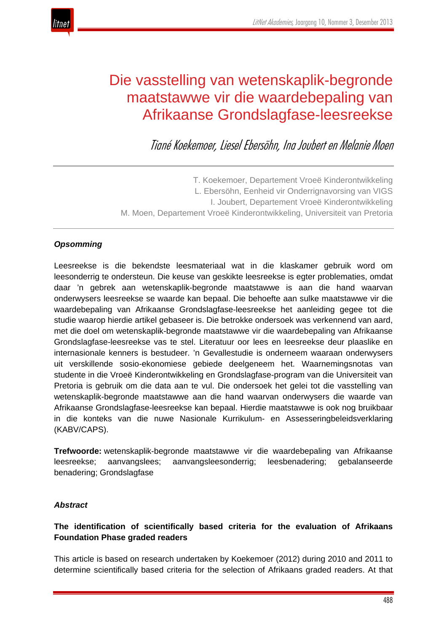

# Die vasstelling van wetenskaplik-begronde maatstawwe vir die waardebepaling van Afrikaanse Grondslagfase-leesreekse

Tiané Koekemoer, Liesel Ebersöhn, Ina Joubert en Melanie Moen

T. Koekemoer, Departement Vroeë Kinderontwikkeling L. Ebersöhn, Eenheid vir Onderrignavorsing van VIGS I. Joubert, Departement Vroeë Kinderontwikkeling M. Moen, Departement Vroeë Kinderontwikkeling, Universiteit van Pretoria

# *Opsomming*

Leesreekse is die bekendste leesmateriaal wat in die klaskamer gebruik word om leesonderrig te ondersteun. Die keuse van geskikte leesreekse is egter problematies, omdat daar 'n gebrek aan wetenskaplik-begronde maatstawwe is aan die hand waarvan onderwysers leesreekse se waarde kan bepaal. Die behoefte aan sulke maatstawwe vir die waardebepaling van Afrikaanse Grondslagfase-leesreekse het aanleiding gegee tot die studie waarop hierdie artikel gebaseer is. Die betrokke ondersoek was verkennend van aard, met die doel om wetenskaplik-begronde maatstawwe vir die waardebepaling van Afrikaanse Grondslagfase-leesreekse vas te stel. Literatuur oor lees en leesreekse deur plaaslike en internasionale kenners is bestudeer. 'n Gevallestudie is onderneem waaraan onderwysers uit verskillende sosio-ekonomiese gebiede deelgeneem het. Waarnemingsnotas van studente in die Vroeë Kinderontwikkeling en Grondslagfase-program van die Universiteit van Pretoria is gebruik om die data aan te vul. Die ondersoek het gelei tot die vasstelling van wetenskaplik-begronde maatstawwe aan die hand waarvan onderwysers die waarde van Afrikaanse Grondslagfase-leesreekse kan bepaal. Hierdie maatstawwe is ook nog bruikbaar in die konteks van die nuwe Nasionale Kurrikulum- en Assesseringbeleidsverklaring (KABV/CAPS).

**Trefwoorde:** wetenskaplik-begronde maatstawwe vir die waardebepaling van Afrikaanse leesreekse; aanvangslees; aanvangsleesonderrig; leesbenadering; gebalanseerde benadering; Grondslagfase

# *Abstract*

# **The identification of scientifically based criteria for the evaluation of Afrikaans Foundation Phase graded readers**

This article is based on research undertaken by Koekemoer (2012) during 2010 and 2011 to determine scientifically based criteria for the selection of Afrikaans graded readers. At that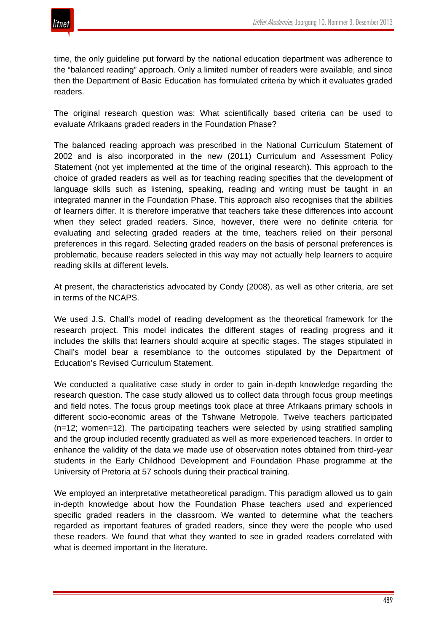

time, the only guideline put forward by the national education department was adherence to the "balanced reading" approach. Only a limited number of readers were available, and since then the Department of Basic Education has formulated criteria by which it evaluates graded readers.

The original research question was: What scientifically based criteria can be used to evaluate Afrikaans graded readers in the Foundation Phase?

The balanced reading approach was prescribed in the National Curriculum Statement of 2002 and is also incorporated in the new (2011) Curriculum and Assessment Policy Statement (not yet implemented at the time of the original research). This approach to the choice of graded readers as well as for teaching reading specifies that the development of language skills such as listening, speaking, reading and writing must be taught in an integrated manner in the Foundation Phase. This approach also recognises that the abilities of learners differ. It is therefore imperative that teachers take these differences into account when they select graded readers. Since, however, there were no definite criteria for evaluating and selecting graded readers at the time, teachers relied on their personal preferences in this regard. Selecting graded readers on the basis of personal preferences is problematic, because readers selected in this way may not actually help learners to acquire reading skills at different levels.

At present, the characteristics advocated by Condy (2008), as well as other criteria, are set in terms of the NCAPS.

We used J.S. Chall's model of reading development as the theoretical framework for the research project. This model indicates the different stages of reading progress and it includes the skills that learners should acquire at specific stages. The stages stipulated in Chall's model bear a resemblance to the outcomes stipulated by the Department of Education's Revised Curriculum Statement.

We conducted a qualitative case study in order to gain in-depth knowledge regarding the research question. The case study allowed us to collect data through focus group meetings and field notes. The focus group meetings took place at three Afrikaans primary schools in different socio-economic areas of the Tshwane Metropole. Twelve teachers participated (n=12; women=12). The participating teachers were selected by using stratified sampling and the group included recently graduated as well as more experienced teachers. In order to enhance the validity of the data we made use of observation notes obtained from third-year students in the Early Childhood Development and Foundation Phase programme at the University of Pretoria at 57 schools during their practical training.

We employed an interpretative metatheoretical paradigm. This paradigm allowed us to gain in-depth knowledge about how the Foundation Phase teachers used and experienced specific graded readers in the classroom. We wanted to determine what the teachers regarded as important features of graded readers, since they were the people who used these readers. We found that what they wanted to see in graded readers correlated with what is deemed important in the literature.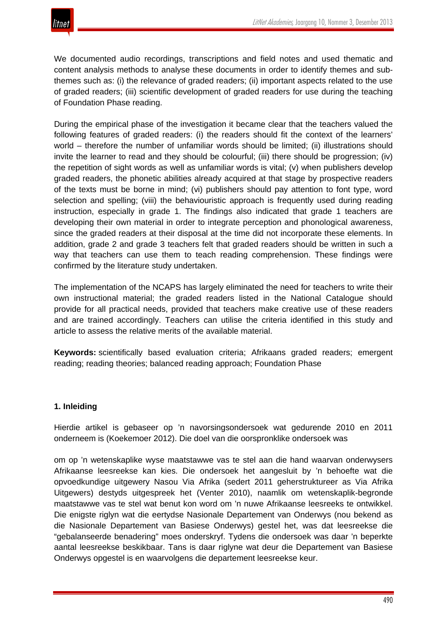We documented audio recordings, transcriptions and field notes and used thematic and content analysis methods to analyse these documents in order to identify themes and subthemes such as: (i) the relevance of graded readers; (ii) important aspects related to the use of graded readers; (iii) scientific development of graded readers for use during the teaching of Foundation Phase reading.

During the empirical phase of the investigation it became clear that the teachers valued the following features of graded readers: (i) the readers should fit the context of the learners' world – therefore the number of unfamiliar words should be limited; (ii) illustrations should invite the learner to read and they should be colourful; (iii) there should be progression; (iv) the repetition of sight words as well as unfamiliar words is vital; (v) when publishers develop graded readers, the phonetic abilities already acquired at that stage by prospective readers of the texts must be borne in mind; (vi) publishers should pay attention to font type, word selection and spelling; (viii) the behaviouristic approach is frequently used during reading instruction, especially in grade 1. The findings also indicated that grade 1 teachers are developing their own material in order to integrate perception and phonological awareness, since the graded readers at their disposal at the time did not incorporate these elements. In addition, grade 2 and grade 3 teachers felt that graded readers should be written in such a way that teachers can use them to teach reading comprehension. These findings were confirmed by the literature study undertaken.

The implementation of the NCAPS has largely eliminated the need for teachers to write their own instructional material; the graded readers listed in the National Catalogue should provide for all practical needs, provided that teachers make creative use of these readers and are trained accordingly. Teachers can utilise the criteria identified in this study and article to assess the relative merits of the available material.

**Keywords:** scientifically based evaluation criteria; Afrikaans graded readers; emergent reading; reading theories; balanced reading approach; Foundation Phase

#### **1. Inleiding**

Hierdie artikel is gebaseer op 'n navorsingsondersoek wat gedurende 2010 en 2011 onderneem is (Koekemoer 2012). Die doel van die oorspronklike ondersoek was

om op 'n wetenskaplike wyse maatstawwe vas te stel aan die hand waarvan onderwysers Afrikaanse leesreekse kan kies. Die ondersoek het aangesluit by 'n behoefte wat die opvoedkundige uitgewery Nasou Via Afrika (sedert 2011 geherstruktureer as Via Afrika Uitgewers) destyds uitgespreek het (Venter 2010), naamlik om wetenskaplik-begronde maatstawwe vas te stel wat benut kon word om 'n nuwe Afrikaanse leesreeks te ontwikkel. Die enigste riglyn wat die eertydse Nasionale Departement van Onderwys (nou bekend as die Nasionale Departement van Basiese Onderwys) gestel het, was dat leesreekse die "gebalanseerde benadering" moes onderskryf. Tydens die ondersoek was daar 'n beperkte aantal leesreekse beskikbaar. Tans is daar riglyne wat deur die Departement van Basiese Onderwys opgestel is en waarvolgens die departement leesreekse keur.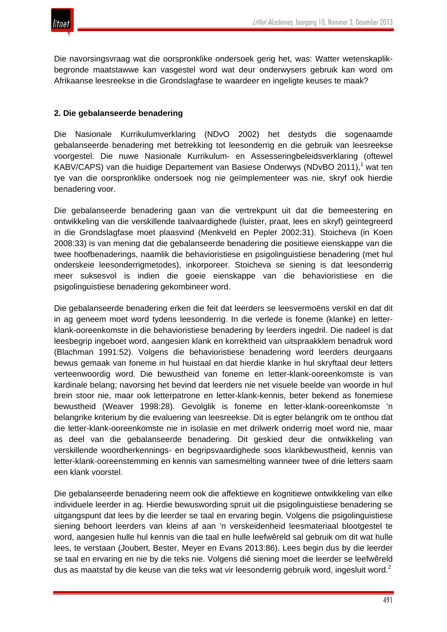

Die navorsingsvraag wat die oorspronklike ondersoek gerig het, was: Watter wetenskaplikbegronde maatstawwe kan vasgestel word wat deur onderwysers gebruik kan word om Afrikaanse leesreekse in die Grondslagfase te waardeer en ingeligte keuses te maak?

#### **2. Die gebalanseerde benadering**

Die Nasionale Kurrikulumverklaring (NDvO 2002) het destyds die sogenaamde gebalanseerde benadering met betrekking tot leesonderrig en die gebruik van leesreekse voorgestel. Die nuwe Nasionale Kurrikulum- en Assesseringbeleidsverklaring (oftewel KABV/CAPS) van die huidige Departement van Basiese Onderwys (NDvBO 2011),<sup>1</sup> wat ten tye van die oorspronklike ondersoek nog nie geïmplementeer was nie, skryf ook hierdie benadering voor.

Die gebalanseerde benadering gaan van die vertrekpunt uit dat die bemeestering en ontwikkeling van die verskillende taalvaardighede (luister, praat, lees en skryf) geïntegreerd in die Grondslagfase moet plaasvind (Menkveld en Pepler 2002:31). Stoicheva (in Koen 2008:33) is van mening dat die gebalanseerde benadering die positiewe eienskappe van die twee hoofbenaderings, naamlik die behavioristiese en psigolinguistiese benadering (met hul onderskeie leesonderrigmetodes), inkorporeer. Stoicheva se siening is dat leesonderrig meer suksesvol is indien die goeie eienskappe van die behavioristiese en die psigolinguistiese benadering gekombineer word.

Die gebalanseerde benadering erken die feit dat leerders se leesvermoëns verskil en dat dit in ag geneem moet word tydens leesonderrig. In die verlede is foneme (klanke) en letterklank-ooreenkomste in die behavioristiese benadering by leerders ingedril. Die nadeel is dat leesbegrip ingeboet word, aangesien klank en korrektheid van uitspraakklem benadruk word (Blachman 1991:52). Volgens die behavioristiese benadering word leerders deurgaans bewus gemaak van foneme in hul huistaal en dat hierdie klanke in hul skryftaal deur letters verteenwoordig word. Die bewustheid van foneme en letter-klank-ooreenkomste is van kardinale belang; navorsing het bevind dat leerders nie net visuele beelde van woorde in hul brein stoor nie, maar ook letterpatrone en letter-klank-kennis, beter bekend as fonemiese bewustheid (Weaver 1998:28). Gevolglik is foneme en letter-klank-ooreenkomste 'n belangrike kriterium by die evaluering van leesreekse. Dit is egter belangrik om te onthou dat die letter-klank-ooreenkomste nie in isolasie en met drilwerk onderrig moet word nie, maar as deel van die gebalanseerde benadering. Dit geskied deur die ontwikkeling van verskillende woordherkennings- en begripsvaardighede soos klankbewustheid, kennis van letter-klank-ooreenstemming en kennis van samesmelting wanneer twee of drie letters saam een klank voorstel.

Die gebalanseerde benadering neem ook die affektiewe en kognitiewe ontwikkeling van elke individuele leerder in ag. Hierdie bewuswording spruit uit die psigolinguistiese benadering se uitgangspunt dat lees by die leerder se taal en ervaring begin. Volgens die psigolinguistiese siening behoort leerders van kleins af aan 'n verskeidenheid leesmateriaal blootgestel te word, aangesien hulle hul kennis van die taal en hulle leefwêreld sal gebruik om dit wat hulle lees, te verstaan (Joubert*,* Bester, Meyer en Evans 2013:86). Lees begin dus by die leerder se taal en ervaring en nie by die teks nie. Volgens dié siening moet die leerder se leefwêreld dus as maatstaf by die keuse van die teks wat vir leesonderrig gebruik word, ingesluit word.<sup>2</sup>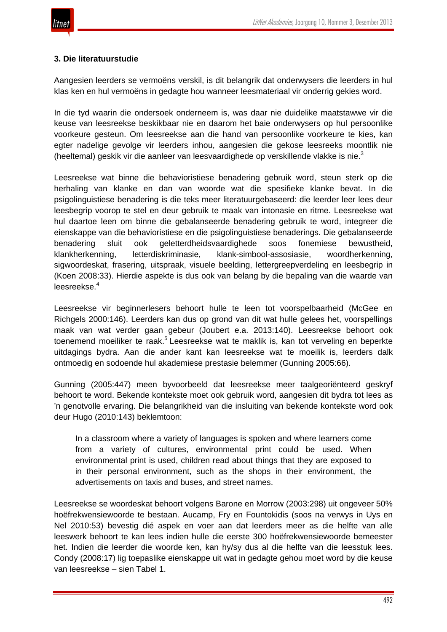

#### **3. Die literatuurstudie**

Aangesien leerders se vermoëns verskil, is dit belangrik dat onderwysers die leerders in hul klas ken en hul vermoëns in gedagte hou wanneer leesmateriaal vir onderrig gekies word.

In die tyd waarin die ondersoek onderneem is, was daar nie duidelike maatstawwe vir die keuse van leesreekse beskikbaar nie en daarom het baie onderwysers op hul persoonlike voorkeure gesteun. Om leesreekse aan die hand van persoonlike voorkeure te kies, kan egter nadelige gevolge vir leerders inhou, aangesien die gekose leesreeks moontlik nie (heeltemal) geskik vir die aanleer van leesvaardighede op verskillende vlakke is nie. $3$ 

Leesreekse wat binne die behavioristiese benadering gebruik word, steun sterk op die herhaling van klanke en dan van woorde wat die spesifieke klanke bevat. In die psigolinguistiese benadering is die teks meer literatuurgebaseerd: die leerder leer lees deur leesbegrip voorop te stel en deur gebruik te maak van intonasie en ritme. Leesreekse wat hul daartoe leen om binne die gebalanseerde benadering gebruik te word, integreer die eienskappe van die behavioristiese en die psigolinguistiese benaderings. Die gebalanseerde benadering sluit ook geletterdheidsvaardighede soos fonemiese bewustheid, klankherkenning, letterdiskriminasie, klank-simbool-assosiasie, woordherkenning, sigwoordeskat, frasering, uitspraak, visuele beelding, lettergreepverdeling en leesbegrip in (Koen 2008:33). Hierdie aspekte is dus ook van belang by die bepaling van die waarde van leesreekse.<sup>4</sup>

Leesreekse vir beginnerlesers behoort hulle te leen tot voorspelbaarheid (McGee en Richgels 2000:146). Leerders kan dus op grond van dit wat hulle gelees het, voorspellings maak van wat verder gaan gebeur (Joubert e.a. 2013:140). Leesreekse behoort ook toenemend moeiliker te raak.<sup>5</sup> Leesreekse wat te maklik is, kan tot verveling en beperkte uitdagings bydra. Aan die ander kant kan leesreekse wat te moeilik is, leerders dalk ontmoedig en sodoende hul akademiese prestasie belemmer (Gunning 2005:66).

Gunning (2005:447) meen byvoorbeeld dat leesreekse meer taalgeoriënteerd geskryf behoort te word. Bekende kontekste moet ook gebruik word, aangesien dit bydra tot lees as 'n genotvolle ervaring. Die belangrikheid van die insluiting van bekende kontekste word ook deur Hugo (2010:143) beklemtoon:

In a classroom where a variety of languages is spoken and where learners come from a variety of cultures, environmental print could be used. When environmental print is used, children read about things that they are exposed to in their personal environment, such as the shops in their environment, the advertisements on taxis and buses, and street names.

Leesreekse se woordeskat behoort volgens Barone en Morrow (2003:298) uit ongeveer 50% hoëfrekwensiewoorde te bestaan. Aucamp, Fry en Fountokidis (soos na verwys in Uys en Nel 2010:53) bevestig dié aspek en voer aan dat leerders meer as die helfte van alle leeswerk behoort te kan lees indien hulle die eerste 300 hoëfrekwensiewoorde bemeester het. Indien die leerder die woorde ken, kan hy/sy dus al die helfte van die leesstuk lees. Condy (2008:17) lig toepaslike eienskappe uit wat in gedagte gehou moet word by die keuse van leesreekse – sien Tabel 1.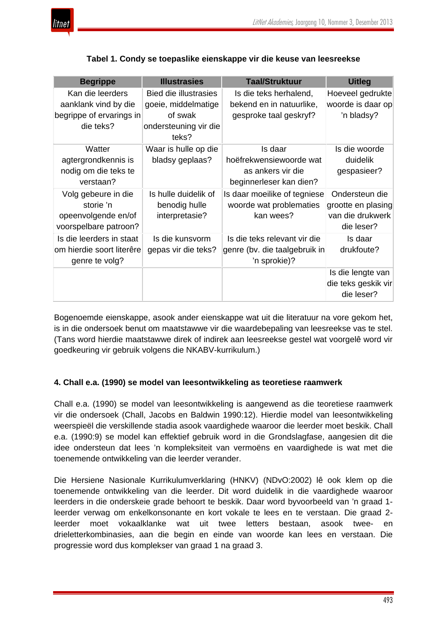

| <b>Begrippe</b>           | <b>Illustrasies</b>            | <b>Taal/Struktuur</b>         | <b>Uitleg</b>       |
|---------------------------|--------------------------------|-------------------------------|---------------------|
| Kan die leerders          | <b>Bied die illustrasies</b>   | Is die teks herhalend,        | Hoeveel gedrukte    |
| aanklank vind by die      | goeie, middelmatige            | bekend en in natuurlike,      | woorde is daar op   |
| begrippe of ervarings in  | of swak                        | gesproke taal geskryf?        | 'n bladsy?          |
| die teks?                 | ondersteuning vir die<br>teks? |                               |                     |
| Watter                    | Waar is hulle op die           | Is daar                       | Is die woorde       |
| agtergrondkennis is       | bladsy geplaas?                | hoëfrekwensiewoorde wat       | duidelik            |
| nodig om die teks te      |                                | as ankers vir die             | gespasieer?         |
| verstaan?                 |                                | beginnerleser kan dien?       |                     |
| Volg gebeure in die       | Is hulle duidelik of           | Is daar moeilike of tegniese  | Ondersteun die      |
| storie 'n                 | benodig hulle                  | woorde wat problematies       | grootte en plasing  |
| opeenvolgende en/of       | interpretasie?                 | kan wees?                     | van die drukwerk    |
| voorspelbare patroon?     |                                |                               | die leser?          |
| Is die leerders in staat  | Is die kunsvorm                | Is die teks relevant vir die  | Is daar             |
| om hierdie soort literêre | gepas vir die teks?            | genre (bv. die taalgebruik in | drukfoute?          |
| genre te volg?            |                                | 'n sprokie)?                  |                     |
|                           |                                |                               | Is die lengte van   |
|                           |                                |                               | die teks geskik vir |
|                           |                                |                               | die leser?          |

#### **Tabel 1. Condy se toepaslike eienskappe vir die keuse van leesreekse**

Bogenoemde eienskappe, asook ander eienskappe wat uit die literatuur na vore gekom het, is in die ondersoek benut om maatstawwe vir die waardebepaling van leesreekse vas te stel. (Tans word hierdie maatstawwe direk of indirek aan leesreekse gestel wat voorgelê word vir goedkeuring vir gebruik volgens die NKABV-kurrikulum.)

#### **4. Chall e.a. (1990) se model van leesontwikkeling as teoretiese raamwerk**

Chall e.a. (1990) se model van leesontwikkeling is aangewend as die teoretiese raamwerk vir die ondersoek (Chall, Jacobs en Baldwin 1990:12). Hierdie model van leesontwikkeling weerspieël die verskillende stadia asook vaardighede waaroor die leerder moet beskik. Chall e.a. (1990:9) se model kan effektief gebruik word in die Grondslagfase, aangesien dit die idee ondersteun dat lees 'n kompleksiteit van vermoëns en vaardighede is wat met die toenemende ontwikkeling van die leerder verander.

Die Hersiene Nasionale Kurrikulumverklaring (HNKV) (NDvO:2002) lê ook klem op die toenemende ontwikkeling van die leerder. Dit word duidelik in die vaardighede waaroor leerders in die onderskeie grade behoort te beskik. Daar word byvoorbeeld van 'n graad 1 leerder verwag om enkelkonsonante en kort vokale te lees en te verstaan. Die graad 2 leerder moet vokaalklanke wat uit twee letters bestaan, asook twee- en drieletterkombinasies, aan die begin en einde van woorde kan lees en verstaan. Die progressie word dus komplekser van graad 1 na graad 3.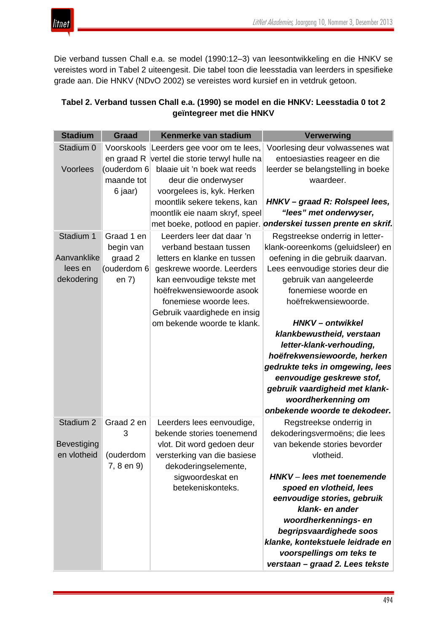Die verband tussen Chall e.a. se model (1990:12–3) van leesontwikkeling en die HNKV se vereistes word in Tabel 2 uiteengesit. Die tabel toon die leesstadia van leerders in spesifieke grade aan. Die HNKV (NDvO 2002) se vereistes word kursief en in vetdruk getoon.

# **Tabel 2. Verband tussen Chall e.a. (1990) se model en die HNKV: Leesstadia 0 tot 2 geïntegreer met die HNKV**

| <b>Stadium</b>       | <b>Graad</b> | Kenmerke van stadium              | <b>Verwerwing</b>                  |
|----------------------|--------------|-----------------------------------|------------------------------------|
| Stadium 0            | Voorskools   | Leerders gee voor om te lees,     | Voorlesing deur volwassenes wat    |
|                      | en graad R   | vertel die storie terwyl hulle na | entoesiasties reageer en die       |
| Voorlees             | (ouderdom 6  | blaaie uit 'n boek wat reeds      | leerder se belangstelling in boeke |
|                      | maande tot   | deur die onderwyser               | waardeer.                          |
|                      | 6 jaar)      | voorgelees is, kyk. Herken        |                                    |
|                      |              | moontlik sekere tekens, kan       | HNKV-graad R: Rolspeel lees,       |
|                      |              | moontlik eie naam skryf, speel    | "lees" met onderwyser,             |
|                      |              | met boeke, potlood en papier.     | onderskei tussen prente en skrif.  |
| Stadium 1            | Graad 1 en   | Leerders leer dat daar 'n         | Regstreekse onderrig in letter-    |
|                      | begin van    | verband bestaan tussen            | klank-ooreenkoms (geluidsleer) en  |
| Aanvanklike          | graad 2      | letters en klanke en tussen       | oefening in die gebruik daarvan.   |
| lees en              | (ouderdom 6  | geskrewe woorde. Leerders         | Lees eenvoudige stories deur die   |
| dekodering           | en $7)$      | kan eenvoudige tekste met         | gebruik van aangeleerde            |
|                      |              | hoëfrekwensiewoorde asook         | fonemiese woorde en                |
|                      |              | fonemiese woorde lees.            | hoëfrekwensiewoorde.               |
|                      |              | Gebruik vaardighede en insig      |                                    |
|                      |              | om bekende woorde te klank.       | HNKV-ontwikkel                     |
|                      |              |                                   | klankbewustheid, verstaan          |
|                      |              |                                   | letter-klank-verhouding,           |
|                      |              |                                   | hoëfrekwensiewoorde, herken        |
|                      |              |                                   | gedrukte teks in omgewing, lees    |
|                      |              |                                   | eenvoudige geskrewe stof,          |
|                      |              |                                   | gebruik vaardigheid met klank-     |
|                      |              |                                   | woordherkenning om                 |
|                      |              |                                   | onbekende woorde te dekodeer.      |
| Stadium <sub>2</sub> | Graad 2 en   | Leerders lees eenvoudige,         | Regstreekse onderrig in            |
|                      | 3            | bekende stories toenemend         | dekoderingsvermoëns; die lees      |
| <b>Bevestiging</b>   |              | vlot. Dit word gedoen deur        | van bekende stories bevorder       |
| en vlotheid          | (ouderdom    | versterking van die basiese       | vlotheid.                          |
|                      | 7, 8 en 9)   | dekoderingselemente,              |                                    |
|                      |              | sigwoordeskat en                  | HNKV-lees met toenemende           |
|                      |              | betekeniskonteks.                 | spoed en vlotheid, lees            |
|                      |              |                                   | eenvoudige stories, gebruik        |
|                      |              |                                   | klank- en ander                    |
|                      |              |                                   | woordherkennings- en               |
|                      |              |                                   | begripsvaardighede soos            |
|                      |              |                                   | klanke, kontekstuele leidrade en   |
|                      |              |                                   | voorspellings om teks te           |
|                      |              |                                   | verstaan - graad 2. Lees tekste    |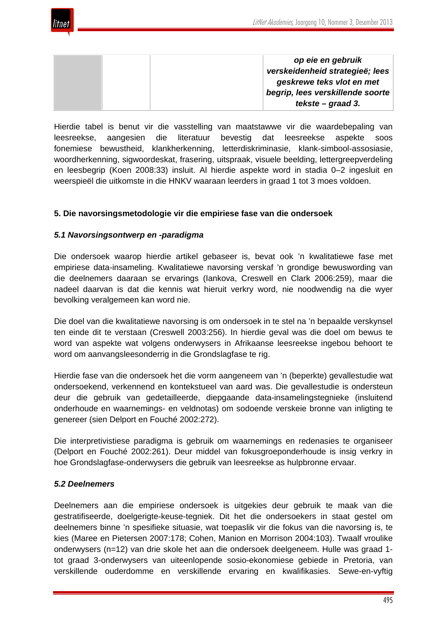

| op eie en gebruik                |
|----------------------------------|
| verskeidenheid strategieë; lees  |
| geskrewe teks vlot en met        |
| begrip, lees verskillende soorte |
| tekste – graad 3.                |

Hierdie tabel is benut vir die vasstelling van maatstawwe vir die waardebepaling van leesreekse, aangesien die literatuur bevestig dat leesreekse aspekte soos fonemiese bewustheid, klankherkenning, letterdiskriminasie, klank-simbool-assosiasie, woordherkenning, sigwoordeskat, frasering, uitspraak, visuele beelding, lettergreepverdeling en leesbegrip (Koen 2008:33) insluit. Al hierdie aspekte word in stadia 0–2 ingesluit en weerspieël die uitkomste in die HNKV waaraan leerders in graad 1 tot 3 moes voldoen.

#### **5. Die navorsingsmetodologie vir die empiriese fase van die ondersoek**

#### *5.1 Navorsingsontwerp en -paradigma*

Die ondersoek waarop hierdie artikel gebaseer is, bevat ook 'n kwalitatiewe fase met empiriese data-insameling. Kwalitatiewe navorsing verskaf 'n grondige bewuswording van die deelnemers daaraan se ervarings (Iankova, Creswell en Clark 2006:259), maar die nadeel daarvan is dat die kennis wat hieruit verkry word, nie noodwendig na die wyer bevolking veralgemeen kan word nie.

Die doel van die kwalitatiewe navorsing is om ondersoek in te stel na 'n bepaalde verskynsel ten einde dit te verstaan (Creswell 2003:256). In hierdie geval was die doel om bewus te word van aspekte wat volgens onderwysers in Afrikaanse leesreekse ingebou behoort te word om aanvangsleesonderrig in die Grondslagfase te rig.

Hierdie fase van die ondersoek het die vorm aangeneem van 'n (beperkte) gevallestudie wat ondersoekend, verkennend en kontekstueel van aard was. Die gevallestudie is ondersteun deur die gebruik van gedetailleerde, diepgaande data-insamelingstegnieke (insluitend onderhoude en waarnemings- en veldnotas) om sodoende verskeie bronne van inligting te genereer (sien Delport en Fouché 2002:272).

Die interpretivistiese paradigma is gebruik om waarnemings en redenasies te organiseer (Delport en Fouché 2002:261). Deur middel van fokusgroeponderhoude is insig verkry in hoe Grondslagfase-onderwysers die gebruik van leesreekse as hulpbronne ervaar.

#### *5.2 Deelnemers*

Deelnemers aan die empiriese ondersoek is uitgekies deur gebruik te maak van die gestratifiseerde, doelgerigte-keuse-tegniek. Dit het die ondersoekers in staat gestel om deelnemers binne 'n spesifieke situasie, wat toepaslik vir die fokus van die navorsing is, te kies (Maree en Pietersen 2007:178; Cohen, Manion en Morrison 2004:103). Twaalf vroulike onderwysers (n=12) van drie skole het aan die ondersoek deelgeneem. Hulle was graad 1 tot graad 3-onderwysers van uiteenlopende sosio-ekonomiese gebiede in Pretoria, van verskillende ouderdomme en verskillende ervaring en kwalifikasies. Sewe-en-vyftig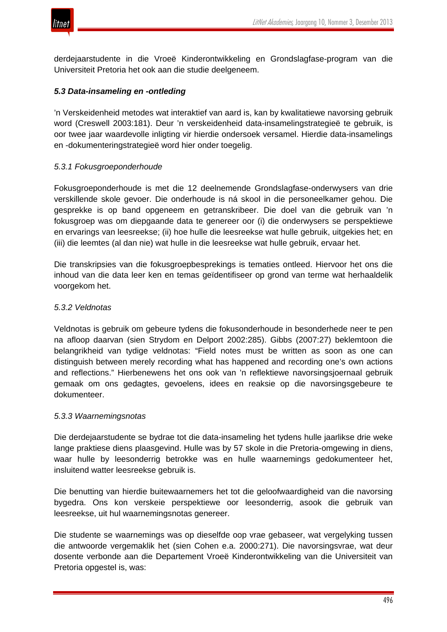

derdejaarstudente in die Vroeë Kinderontwikkeling en Grondslagfase-program van die Universiteit Pretoria het ook aan die studie deelgeneem.

#### *5.3 Data-insameling en -ontleding*

'n Verskeidenheid metodes wat interaktief van aard is, kan by kwalitatiewe navorsing gebruik word (Creswell 2003:181). Deur 'n verskeidenheid data-insamelingstrategieë te gebruik, is oor twee jaar waardevolle inligting vir hierdie ondersoek versamel. Hierdie data-insamelings en -dokumenteringstrategieë word hier onder toegelig.

### *5.3.1 Fokusgroeponderhoude*

Fokusgroeponderhoude is met die 12 deelnemende Grondslagfase-onderwysers van drie verskillende skole gevoer. Die onderhoude is ná skool in die personeelkamer gehou. Die gesprekke is op band opgeneem en getranskribeer. Die doel van die gebruik van 'n fokusgroep was om diepgaande data te genereer oor (i) die onderwysers se perspektiewe en ervarings van leesreekse; (ii) hoe hulle die leesreekse wat hulle gebruik, uitgekies het; en (iii) die leemtes (al dan nie) wat hulle in die leesreekse wat hulle gebruik, ervaar het.

Die transkripsies van die fokusgroepbesprekings is tematies ontleed. Hiervoor het ons die inhoud van die data leer ken en temas geïdentifiseer op grond van terme wat herhaaldelik voorgekom het.

#### *5.3.2 Veldnotas*

Veldnotas is gebruik om gebeure tydens die fokusonderhoude in besonderhede neer te pen na afloop daarvan (sien Strydom en Delport 2002:285). Gibbs (2007:27) beklemtoon die belangrikheid van tydige veldnotas: "Field notes must be written as soon as one can distinguish between merely recording what has happened and recording one's own actions and reflections." Hierbenewens het ons ook van 'n reflektiewe navorsingsjoernaal gebruik gemaak om ons gedagtes, gevoelens, idees en reaksie op die navorsingsgebeure te dokumenteer.

#### *5.3.3 Waarnemingsnotas*

Die derdejaarstudente se bydrae tot die data-insameling het tydens hulle jaarlikse drie weke lange praktiese diens plaasgevind. Hulle was by 57 skole in die Pretoria-omgewing in diens, waar hulle by leesonderrig betrokke was en hulle waarnemings gedokumenteer het, insluitend watter leesreekse gebruik is.

Die benutting van hierdie buitewaarnemers het tot die geloofwaardigheid van die navorsing bygedra. Ons kon verskeie perspektiewe oor leesonderrig, asook die gebruik van leesreekse, uit hul waarnemingsnotas genereer.

Die studente se waarnemings was op dieselfde oop vrae gebaseer, wat vergelyking tussen die antwoorde vergemaklik het (sien Cohen e.a. 2000:271). Die navorsingsvrae, wat deur dosente verbonde aan die Departement Vroeë Kinderontwikkeling van die Universiteit van Pretoria opgestel is, was: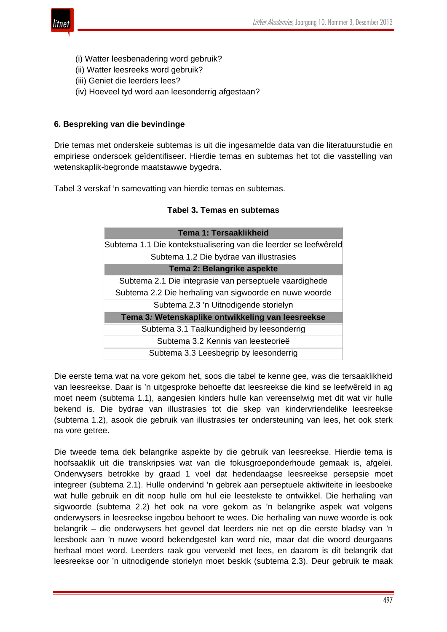

- (i) Watter leesbenadering word gebruik?
- (ii) Watter leesreeks word gebruik?
- (iii) Geniet die leerders lees?
- (iv) Hoeveel tyd word aan leesonderrig afgestaan?

#### **6. Bespreking van die bevindinge**

Drie temas met onderskeie subtemas is uit die ingesamelde data van die literatuurstudie en empiriese ondersoek geïdentifiseer. Hierdie temas en subtemas het tot die vasstelling van wetenskaplik-begronde maatstawwe bygedra.

Tabel 3 verskaf 'n samevatting van hierdie temas en subtemas.

| <b>Tema 1: Tersaaklikheid</b>                                    |  |  |
|------------------------------------------------------------------|--|--|
| Subtema 1.1 Die kontekstualisering van die leerder se leefwêreld |  |  |
| Subtema 1.2 Die bydrae van illustrasies                          |  |  |
| Tema 2: Belangrike aspekte                                       |  |  |
| Subtema 2.1 Die integrasie van perseptuele vaardighede           |  |  |
| Subtema 2.2 Die herhaling van sigwoorde en nuwe woorde           |  |  |
| Subtema 2.3 'n Uitnodigende storielyn                            |  |  |
| Tema 3: Wetenskaplike ontwikkeling van leesreekse                |  |  |
| Subtema 3.1 Taalkundigheid by leesonderrig                       |  |  |
| Subtema 3.2 Kennis van leesteorieë                               |  |  |
| Subtema 3.3 Leesbegrip by leesonderrig                           |  |  |

Die eerste tema wat na vore gekom het, soos die tabel te kenne gee, was die tersaaklikheid van leesreekse. Daar is 'n uitgesproke behoefte dat leesreekse die kind se leefwêreld in ag moet neem (subtema 1.1), aangesien kinders hulle kan vereenselwig met dit wat vir hulle bekend is. Die bydrae van illustrasies tot die skep van kindervriendelike leesreekse (subtema 1.2), asook die gebruik van illustrasies ter ondersteuning van lees, het ook sterk na vore getree.

Die tweede tema dek belangrike aspekte by die gebruik van leesreekse. Hierdie tema is hoofsaaklik uit die transkripsies wat van die fokusgroeponderhoude gemaak is, afgelei. Onderwysers betrokke by graad 1 voel dat hedendaagse leesreekse persepsie moet integreer (subtema 2.1). Hulle ondervind 'n gebrek aan perseptuele aktiwiteite in leesboeke wat hulle gebruik en dit noop hulle om hul eie leestekste te ontwikkel. Die herhaling van sigwoorde (subtema 2.2) het ook na vore gekom as 'n belangrike aspek wat volgens onderwysers in leesreekse ingebou behoort te wees. Die herhaling van nuwe woorde is ook belangrik – die onderwysers het gevoel dat leerders nie net op die eerste bladsy van 'n leesboek aan 'n nuwe woord bekendgestel kan word nie, maar dat die woord deurgaans herhaal moet word. Leerders raak gou verveeld met lees, en daarom is dit belangrik dat leesreekse oor 'n uitnodigende storielyn moet beskik (subtema 2.3). Deur gebruik te maak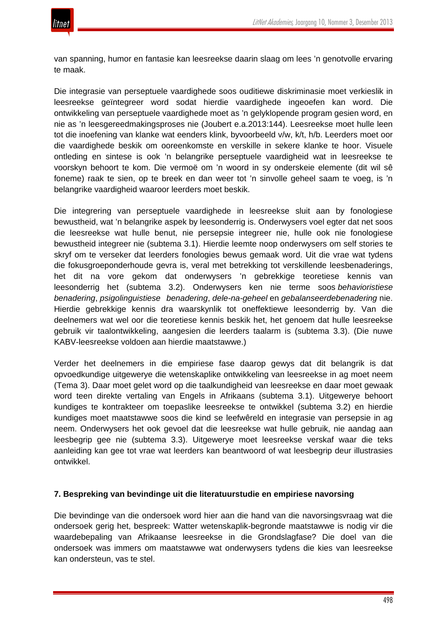

van spanning, humor en fantasie kan leesreekse daarin slaag om lees 'n genotvolle ervaring te maak.

Die integrasie van perseptuele vaardighede soos ouditiewe diskriminasie moet verkieslik in leesreekse geïntegreer word sodat hierdie vaardighede ingeoefen kan word. Die ontwikkeling van perseptuele vaardighede moet as 'n gelyklopende program gesien word, en nie as 'n leesgereedmakingsproses nie (Joubert e.a.2013:144). Leesreekse moet hulle leen tot die inoefening van klanke wat eenders klink, byvoorbeeld v/w, k/t, h/b. Leerders moet oor die vaardighede beskik om ooreenkomste en verskille in sekere klanke te hoor. Visuele ontleding en sintese is ook 'n belangrike perseptuele vaardigheid wat in leesreekse te voorskyn behoort te kom. Die vermoë om 'n woord in sy onderskeie elemente (dit wil sê foneme) raak te sien, op te breek en dan weer tot 'n sinvolle geheel saam te voeg, is 'n belangrike vaardigheid waaroor leerders moet beskik.

Die integrering van perseptuele vaardighede in leesreekse sluit aan by fonologiese bewustheid, wat 'n belangrike aspek by leesonderrig is. Onderwysers voel egter dat net soos die leesreekse wat hulle benut, nie persepsie integreer nie, hulle ook nie fonologiese bewustheid integreer nie (subtema 3.1). Hierdie leemte noop onderwysers om self stories te skryf om te verseker dat leerders fonologies bewus gemaak word. Uit die vrae wat tydens die fokusgroeponderhoude gevra is, veral met betrekking tot verskillende leesbenaderings, het dit na vore gekom dat onderwysers 'n gebrekkige teoretiese kennis van leesonderrig het (subtema 3.2). Onderwysers ken nie terme soos *behavioristiese benadering*, *psigolinguistiese benadering*, *dele-na-geheel* en *gebalanseerdebenadering* nie. Hierdie gebrekkige kennis dra waarskynlik tot oneffektiewe leesonderrig by. Van die deelnemers wat wel oor die teoretiese kennis beskik het, het genoem dat hulle leesreekse gebruik vir taalontwikkeling, aangesien die leerders taalarm is (subtema 3.3). (Die nuwe KABV-leesreekse voldoen aan hierdie maatstawwe.)

Verder het deelnemers in die empiriese fase daarop gewys dat dit belangrik is dat opvoedkundige uitgewerye die wetenskaplike ontwikkeling van leesreekse in ag moet neem (Tema 3). Daar moet gelet word op die taalkundigheid van leesreekse en daar moet gewaak word teen direkte vertaling van Engels in Afrikaans (subtema 3.1). Uitgewerye behoort kundiges te kontrakteer om toepaslike leesreekse te ontwikkel (subtema 3.2) en hierdie kundiges moet maatstawwe soos die kind se leefwêreld en integrasie van persepsie in ag neem. Onderwysers het ook gevoel dat die leesreekse wat hulle gebruik, nie aandag aan leesbegrip gee nie (subtema 3.3). Uitgewerye moet leesreekse verskaf waar die teks aanleiding kan gee tot vrae wat leerders kan beantwoord of wat leesbegrip deur illustrasies ontwikkel.

#### **7. Bespreking van bevindinge uit die literatuurstudie en empiriese navorsing**

Die bevindinge van die ondersoek word hier aan die hand van die navorsingsvraag wat die ondersoek gerig het, bespreek: Watter wetenskaplik-begronde maatstawwe is nodig vir die waardebepaling van Afrikaanse leesreekse in die Grondslagfase? Die doel van die ondersoek was immers om maatstawwe wat onderwysers tydens die kies van leesreekse kan ondersteun, vas te stel.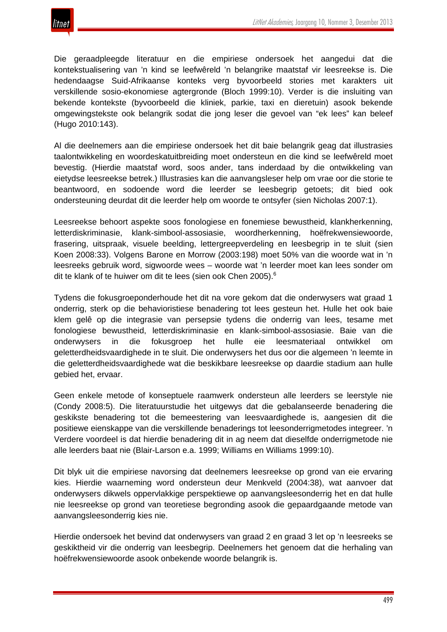Die geraadpleegde literatuur en die empiriese ondersoek het aangedui dat die kontekstualisering van 'n kind se leefwêreld 'n belangrike maatstaf vir leesreekse is. Die hedendaagse Suid-Afrikaanse konteks verg byvoorbeeld stories met karakters uit verskillende sosio-ekonomiese agtergronde (Bloch 1999:10). Verder is die insluiting van bekende kontekste (byvoorbeeld die kliniek, parkie, taxi en dieretuin) asook bekende omgewingstekste ook belangrik sodat die jong leser die gevoel van "ek lees" kan beleef (Hugo 2010:143).

Al die deelnemers aan die empiriese ondersoek het dit baie belangrik geag dat illustrasies taalontwikkeling en woordeskatuitbreiding moet ondersteun en die kind se leefwêreld moet bevestig. (Hierdie maatstaf word, soos ander, tans inderdaad by die ontwikkeling van eietydse leesreekse betrek.) Illustrasies kan die aanvangsleser help om vrae oor die storie te beantwoord, en sodoende word die leerder se leesbegrip getoets; dit bied ook ondersteuning deurdat dit die leerder help om woorde te ontsyfer (sien Nicholas 2007:1).

Leesreekse behoort aspekte soos fonologiese en fonemiese bewustheid, klankherkenning, letterdiskriminasie, klank-simbool-assosiasie, woordherkenning, hoëfrekwensiewoorde, frasering, uitspraak, visuele beelding, lettergreepverdeling en leesbegrip in te sluit (sien Koen 2008:33). Volgens Barone en Morrow (2003:198) moet 50% van die woorde wat in 'n leesreeks gebruik word, sigwoorde wees – woorde wat 'n leerder moet kan lees sonder om dit te klank of te huiwer om dit te lees (sien ook Chen 2005).<sup>6</sup>

Tydens die fokusgroeponderhoude het dit na vore gekom dat die onderwysers wat graad 1 onderrig, sterk op die behavioristiese benadering tot lees gesteun het. Hulle het ook baie klem gelê op die integrasie van persepsie tydens die onderrig van lees, tesame met fonologiese bewustheid, letterdiskriminasie en klank-simbool-assosiasie. Baie van die onderwysers in die fokusgroep het hulle eie leesmateriaal ontwikkel om geletterdheidsvaardighede in te sluit. Die onderwysers het dus oor die algemeen 'n leemte in die geletterdheidsvaardighede wat die beskikbare leesreekse op daardie stadium aan hulle gebied het, ervaar.

Geen enkele metode of konseptuele raamwerk ondersteun alle leerders se leerstyle nie (Condy 2008:5). Die literatuurstudie het uitgewys dat die gebalanseerde benadering die geskikste benadering tot die bemeestering van leesvaardighede is, aangesien dit die positiewe eienskappe van die verskillende benaderings tot leesonderrigmetodes integreer. 'n Verdere voordeel is dat hierdie benadering dit in ag neem dat dieselfde onderrigmetode nie alle leerders baat nie (Blair-Larson e.a. 1999; Williams en Williams 1999:10).

Dit blyk uit die empiriese navorsing dat deelnemers leesreekse op grond van eie ervaring kies. Hierdie waarneming word ondersteun deur Menkveld (2004:38), wat aanvoer dat onderwysers dikwels oppervlakkige perspektiewe op aanvangsleesonderrig het en dat hulle nie leesreekse op grond van teoretiese begronding asook die gepaardgaande metode van aanvangsleesonderrig kies nie.

Hierdie ondersoek het bevind dat onderwysers van graad 2 en graad 3 let op 'n leesreeks se geskiktheid vir die onderrig van leesbegrip. Deelnemers het genoem dat die herhaling van hoëfrekwensiewoorde asook onbekende woorde belangrik is.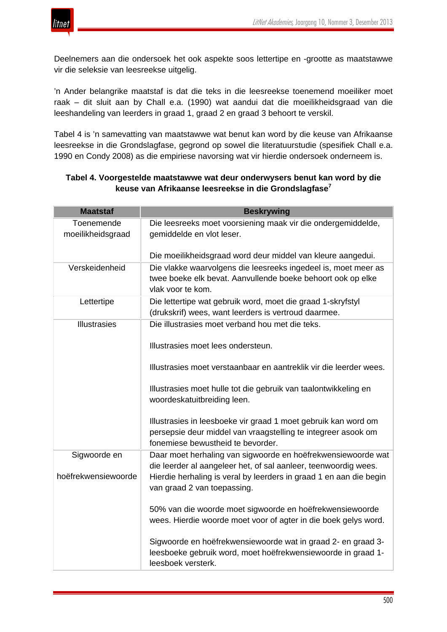

Deelnemers aan die ondersoek het ook aspekte soos lettertipe en -grootte as maatstawwe vir die seleksie van leesreekse uitgelig.

'n Ander belangrike maatstaf is dat die teks in die leesreekse toenemend moeiliker moet raak – dit sluit aan by Chall e.a. (1990) wat aandui dat die moeilikheidsgraad van die leeshandeling van leerders in graad 1, graad 2 en graad 3 behoort te verskil.

Tabel 4 is 'n samevatting van maatstawwe wat benut kan word by die keuse van Afrikaanse leesreekse in die Grondslagfase, gegrond op sowel die literatuurstudie (spesifiek Chall e.a. 1990 en Condy 2008) as die empiriese navorsing wat vir hierdie ondersoek onderneem is.

| <b>Maatstaf</b>                 | <b>Beskrywing</b>                                                                                                                                                    |
|---------------------------------|----------------------------------------------------------------------------------------------------------------------------------------------------------------------|
| Toenemende<br>moeilikheidsgraad | Die leesreeks moet voorsiening maak vir die ondergemiddelde,<br>gemiddelde en vlot leser.                                                                            |
|                                 | Die moeilikheidsgraad word deur middel van kleure aangedui.                                                                                                          |
| Verskeidenheid                  | Die vlakke waarvolgens die leesreeks ingedeel is, moet meer as<br>twee boeke elk bevat. Aanvullende boeke behoort ook op elke<br>vlak voor te kom.                   |
| Lettertipe                      | Die lettertipe wat gebruik word, moet die graad 1-skryfstyl<br>(drukskrif) wees, want leerders is vertroud daarmee.                                                  |
| <b>Illustrasies</b>             | Die illustrasies moet verband hou met die teks.                                                                                                                      |
|                                 | Illustrasies moet lees ondersteun.                                                                                                                                   |
|                                 | Illustrasies moet verstaanbaar en aantreklik vir die leerder wees.                                                                                                   |
|                                 | Illustrasies moet hulle tot die gebruik van taalontwikkeling en<br>woordeskatuitbreiding leen.                                                                       |
|                                 | Illustrasies in leesboeke vir graad 1 moet gebruik kan word om<br>persepsie deur middel van vraagstelling te integreer asook om<br>fonemiese bewustheid te bevorder. |
| Sigwoorde en                    | Daar moet herhaling van sigwoorde en hoëfrekwensiewoorde wat<br>die leerder al aangeleer het, of sal aanleer, teenwoordig wees.                                      |
| hoëfrekwensiewoorde             | Hierdie herhaling is veral by leerders in graad 1 en aan die begin<br>van graad 2 van toepassing.                                                                    |
|                                 | 50% van die woorde moet sigwoorde en hoëfrekwensiewoorde<br>wees. Hierdie woorde moet voor of agter in die boek gelys word.                                          |
|                                 | Sigwoorde en hoëfrekwensiewoorde wat in graad 2- en graad 3-<br>leesboeke gebruik word, moet hoëfrekwensiewoorde in graad 1-<br>leesboek versterk.                   |

# **Tabel 4. Voorgestelde maatstawwe wat deur onderwysers benut kan word by die keuse van Afrikaanse leesreekse in die Grondslagfase<sup>7</sup>**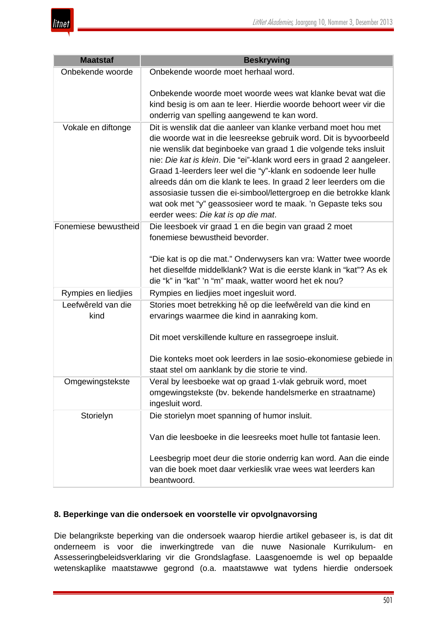

| <b>Maatstaf</b>            | <b>Beskrywing</b>                                                                                                                                                                                                                                                                                                                                                                                                                                                                                                                                                                                     |
|----------------------------|-------------------------------------------------------------------------------------------------------------------------------------------------------------------------------------------------------------------------------------------------------------------------------------------------------------------------------------------------------------------------------------------------------------------------------------------------------------------------------------------------------------------------------------------------------------------------------------------------------|
| Onbekende woorde           | Onbekende woorde moet herhaal word.                                                                                                                                                                                                                                                                                                                                                                                                                                                                                                                                                                   |
|                            | Onbekende woorde moet woorde wees wat klanke bevat wat die<br>kind besig is om aan te leer. Hierdie woorde behoort weer vir die<br>onderrig van spelling aangewend te kan word.                                                                                                                                                                                                                                                                                                                                                                                                                       |
| Vokale en diftonge         | Dit is wenslik dat die aanleer van klanke verband moet hou met<br>die woorde wat in die leesreekse gebruik word. Dit is byvoorbeeld<br>nie wenslik dat beginboeke van graad 1 die volgende teks insluit<br>nie: Die kat is klein. Die "ei"-klank word eers in graad 2 aangeleer.<br>Graad 1-leerders leer wel die "y"-klank en sodoende leer hulle<br>alreeds dán om die klank te lees. In graad 2 leer leerders om die<br>assosiasie tussen die ei-simbool/lettergroep en die betrokke klank<br>wat ook met "y" geassosieer word te maak. 'n Gepaste teks sou<br>eerder wees: Die kat is op die mat. |
| Fonemiese bewustheid       | Die leesboek vir graad 1 en die begin van graad 2 moet<br>fonemiese bewustheid bevorder.<br>"Die kat is op die mat." Onderwysers kan vra: Watter twee woorde<br>het dieselfde middelklank? Wat is die eerste klank in "kat"? As ek<br>die "k" in "kat" 'n "m" maak, watter woord het ek nou?                                                                                                                                                                                                                                                                                                          |
| Rympies en liedjies        | Rympies en liedjies moet ingesluit word.                                                                                                                                                                                                                                                                                                                                                                                                                                                                                                                                                              |
| Leefwêreld van die<br>kind | Stories moet betrekking hê op die leefwêreld van die kind en<br>ervarings waarmee die kind in aanraking kom.                                                                                                                                                                                                                                                                                                                                                                                                                                                                                          |
|                            | Dit moet verskillende kulture en rassegroepe insluit.                                                                                                                                                                                                                                                                                                                                                                                                                                                                                                                                                 |
|                            | Die konteks moet ook leerders in lae sosio-ekonomiese gebiede in<br>staat stel om aanklank by die storie te vind.                                                                                                                                                                                                                                                                                                                                                                                                                                                                                     |
| Omgewingstekste            | Veral by leesboeke wat op graad 1-vlak gebruik word, moet<br>omgewingstekste (bv. bekende handelsmerke en straatname)<br>ingesluit word.                                                                                                                                                                                                                                                                                                                                                                                                                                                              |
| Storielyn                  | Die storielyn moet spanning of humor insluit.                                                                                                                                                                                                                                                                                                                                                                                                                                                                                                                                                         |
|                            | Van die leesboeke in die leesreeks moet hulle tot fantasie leen.                                                                                                                                                                                                                                                                                                                                                                                                                                                                                                                                      |
|                            | Leesbegrip moet deur die storie onderrig kan word. Aan die einde<br>van die boek moet daar verkieslik vrae wees wat leerders kan<br>beantwoord.                                                                                                                                                                                                                                                                                                                                                                                                                                                       |

# **8. Beperkinge van die ondersoek en voorstelle vir opvolgnavorsing**

Die belangrikste beperking van die ondersoek waarop hierdie artikel gebaseer is, is dat dit onderneem is voor die inwerkingtrede van die nuwe Nasionale Kurrikulum- en Assesseringbeleidsverklaring vir die Grondslagfase. Laasgenoemde is wel op bepaalde wetenskaplike maatstawwe gegrond (o.a. maatstawwe wat tydens hierdie ondersoek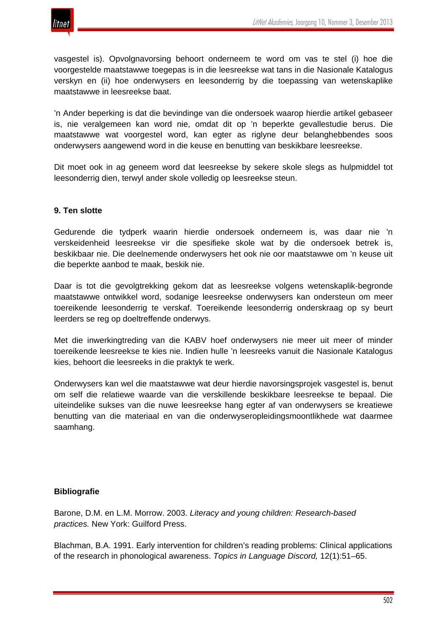

vasgestel is). Opvolgnavorsing behoort onderneem te word om vas te stel (i) hoe die voorgestelde maatstawwe toegepas is in die leesreekse wat tans in die Nasionale Katalogus verskyn en (ii) hoe onderwysers en leesonderrig by die toepassing van wetenskaplike maatstawwe in leesreekse baat.

'n Ander beperking is dat die bevindinge van die ondersoek waarop hierdie artikel gebaseer is, nie veralgemeen kan word nie, omdat dit op 'n beperkte gevallestudie berus. Die maatstawwe wat voorgestel word, kan egter as riglyne deur belanghebbendes soos onderwysers aangewend word in die keuse en benutting van beskikbare leesreekse.

Dit moet ook in ag geneem word dat leesreekse by sekere skole slegs as hulpmiddel tot leesonderrig dien, terwyl ander skole volledig op leesreekse steun.

#### **9. Ten slotte**

Gedurende die tydperk waarin hierdie ondersoek onderneem is, was daar nie 'n verskeidenheid leesreekse vir die spesifieke skole wat by die ondersoek betrek is, beskikbaar nie. Die deelnemende onderwysers het ook nie oor maatstawwe om 'n keuse uit die beperkte aanbod te maak, beskik nie.

Daar is tot die gevolgtrekking gekom dat as leesreekse volgens wetenskaplik-begronde maatstawwe ontwikkel word, sodanige leesreekse onderwysers kan ondersteun om meer toereikende leesonderrig te verskaf. Toereikende leesonderrig onderskraag op sy beurt leerders se reg op doeltreffende onderwys.

Met die inwerkingtreding van die KABV hoef onderwysers nie meer uit meer of minder toereikende leesreekse te kies nie. Indien hulle 'n leesreeks vanuit die Nasionale Katalogus kies, behoort die leesreeks in die praktyk te werk.

Onderwysers kan wel die maatstawwe wat deur hierdie navorsingsprojek vasgestel is, benut om self die relatiewe waarde van die verskillende beskikbare leesreekse te bepaal. Die uiteindelike sukses van die nuwe leesreekse hang egter af van onderwysers se kreatiewe benutting van die materiaal en van die onderwyseropleidingsmoontlikhede wat daarmee saamhang.

#### **Bibliografie**

Barone, D.M. en L.M. Morrow. 2003. *Literacy and young children: Research-based practices.* New York: Guilford Press.

Blachman, B.A. 1991. Early intervention for children's reading problems: Clinical applications of the research in phonological awareness. *Topics in Language Discord,* 12(1):51–65.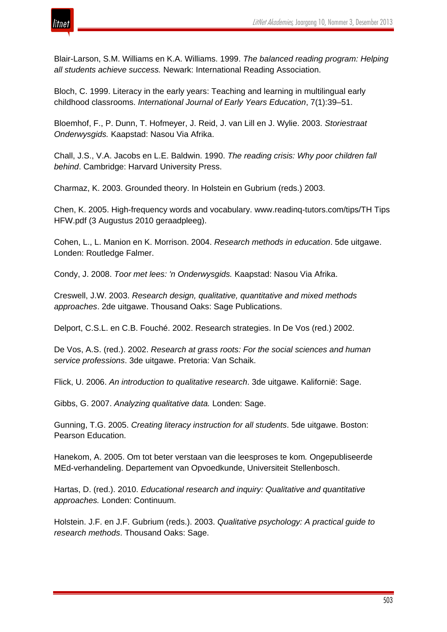

Blair-Larson, S.M. Williams en K.A. Williams. 1999. *The balanced reading program: Helping all students achieve success.* Newark: International Reading Association.

Bloch, C. 1999. Literacy in the early years: Teaching and learning in multilingual early childhood classrooms. *International Journal of Early Years Education*, 7(1):39–51.

Bloemhof, F., P. Dunn, T. Hofmeyer, J. Reid, J. van Lill en J. Wylie. 2003. *Storiestraat Onderwysgids.* Kaapstad: Nasou Via Afrika.

Chall, J.S., V.A. Jacobs en L.E. Baldwin. 1990. *The reading crisis: Why poor children fall behind*. Cambridge: Harvard University Press.

Charmaz, K. 2003. Grounded theory. In Holstein en Gubrium (reds.) 2003.

Chen, K. 2005. High-frequency words and vocabulary. www.readinq-tutors.com/tips/TH Tips HFW.pdf (3 Augustus 2010 geraadpleeg).

Cohen, L., L. Manion en K. Morrison. 2004. *Research methods in education*. 5de uitgawe. Londen: Routledge Falmer.

Condy, J. 2008. *Toor met lees: 'n Onderwysgids.* Kaapstad: Nasou Via Afrika.

Creswell, J.W. 2003. *Research design, qualitative, quantitative and mixed methods approaches*. 2de uitgawe. Thousand Oaks: Sage Publications.

Delport, C.S.L. en C.B. Fouché. 2002. Research strategies. In De Vos (red.) 2002.

De Vos, A.S. (red.). 2002. *Research at grass roots: For the social sciences and human service professions*. 3de uitgawe. Pretoria: Van Schaik.

Flick, U. 2006. *An introduction to qualitative research*. 3de uitgawe. Kalifornië: Sage.

Gibbs, G. 2007. *Analyzing qualitative data.* Londen: Sage.

Gunning, T.G. 2005. *Creating literacy instruction for all students*. 5de uitgawe. Boston: Pearson Education.

Hanekom, A. 2005. Om tot beter verstaan van die leesproses te kom*.* Ongepubliseerde MEd-verhandeling. Departement van Opvoedkunde, Universiteit Stellenbosch.

Hartas, D. (red.). 2010. *Educational research and inquiry: Qualitative and quantitative approaches.* Londen: Continuum.

Holstein. J.F. en J.F. Gubrium (reds.). 2003. *Qualitative psychology: A practical guide to research methods*. Thousand Oaks: Sage.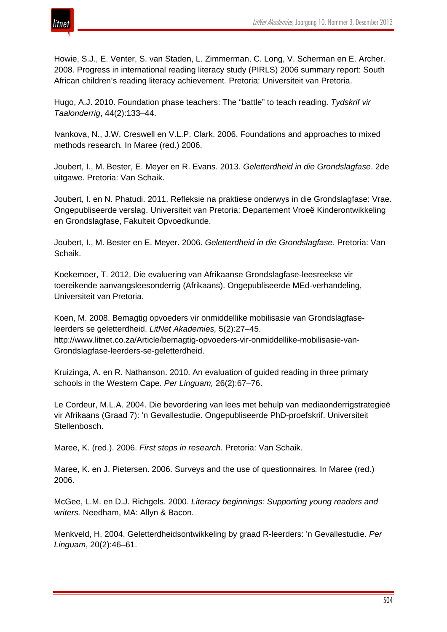

Howie, S.J., E. Venter, S. van Staden, L. Zimmerman, C. Long, V. Scherman en E. Archer. 2008. Progress in international reading literacy study (PIRLS) 2006 summary report: South African children's reading literacy achievement*.* Pretoria: Universiteit van Pretoria.

Hugo, A.J. 2010. Foundation phase teachers: The "battle" to teach reading. *Tydskrif vir Taalonderrig*, 44(2):133–44.

Ivankova, N., J.W. Creswell en V.L.P. Clark. 2006. Foundations and approaches to mixed methods research*.* In Maree (red.) 2006.

Joubert, I., M. Bester, E. Meyer en R. Evans. 2013. *Geletterdheid in die Grondslagfase*. 2de uitgawe. Pretoria: Van Schaik.

Joubert, I. en N. Phatudi. 2011. Refleksie na praktiese onderwys in die Grondslagfase: Vrae. Ongepubliseerde verslag. Universiteit van Pretoria: Departement Vroeë Kinderontwikkeling en Grondslagfase, Fakulteit Opvoedkunde.

Joubert, I., M. Bester en E. Meyer. 2006. *Geletterdheid in die Grondslagfase*. Pretoria: Van Schaik.

Koekemoer, T. 2012. Die evaluering van Afrikaanse Grondslagfase-leesreekse vir toereikende aanvangsleesonderrig (Afrikaans). Ongepubliseerde MEd-verhandeling, Universiteit van Pretoria.

Koen, M. 2008. Bemagtig opvoeders vir onmiddellike mobilisasie van Grondslagfaseleerders se geletterdheid. *LitNet Akademies,* 5(2):27–45. http://www.litnet.co.za/Article/bemagtig-opvoeders-vir-onmiddellike-mobilisasie-van-Grondslagfase-leerders-se-geletterdheid.

Kruizinga, A. en R. Nathanson. 2010. An evaluation of guided reading in three primary schools in the Western Cape. *Per Linguam,* 26(2):67–76.

Le Cordeur, M.L.A. 2004. Die bevordering van lees met behulp van mediaonderrigstrategieë vir Afrikaans (Graad 7): 'n Gevallestudie. Ongepubliseerde PhD-proefskrif. Universiteit Stellenbosch.

Maree, K. (red.). 2006. *First steps in research.* Pretoria: Van Schaik.

Maree, K. en J. Pietersen. 2006. Surveys and the use of questionnaires*.* In Maree (red.) 2006.

McGee, L.M. en D.J. Richgels. 2000. *Literacy beginnings: Supporting young readers and writers.* Needham, MA: Allyn & Bacon.

Menkveld, H. 2004. Geletterdheidsontwikkeling by graad R-leerders: 'n Gevallestudie. *Per Linguam*, 20(2):46–61.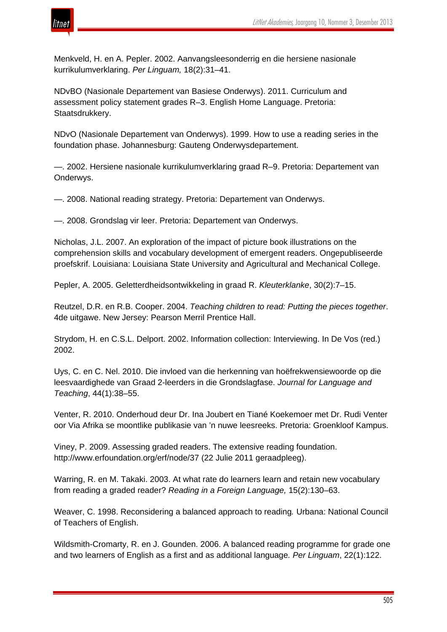

Menkveld, H. en A. Pepler. 2002. Aanvangsleesonderrig en die hersiene nasionale kurrikulumverklaring. *Per Linguam,* 18(2):31–41.

NDvBO (Nasionale Departement van Basiese Onderwys). 2011. Curriculum and assessment policy statement grades R–3. English Home Language. Pretoria: Staatsdrukkery.

NDvO (Nasionale Departement van Onderwys). 1999. How to use a reading series in the foundation phase. Johannesburg: Gauteng Onderwysdepartement.

—. 2002. Hersiene nasionale kurrikulumverklaring graad R–9. Pretoria: Departement van Onderwys.

—. 2008. National reading strategy. Pretoria: Departement van Onderwys.

—. 2008. Grondslag vir leer. Pretoria: Departement van Onderwys.

Nicholas, J.L. 2007. An exploration of the impact of picture book illustrations on the comprehension skills and vocabulary development of emergent readers. Ongepubliseerde proefskrif. Louisiana: Louisiana State University and Agricultural and Mechanical College.

Pepler, A. 2005. Geletterdheidsontwikkeling in graad R. *Kleuterklanke*, 30(2):7–15.

Reutzel, D.R. en R.B. Cooper. 2004. *Teaching children to read: Putting the pieces together*. 4de uitgawe. New Jersey: Pearson Merril Prentice Hall.

Strydom, H. en C.S.L. Delport. 2002. Information collection: Interviewing. In De Vos (red.) 2002.

Uys, C. en C. Nel. 2010. Die invloed van die herkenning van hoëfrekwensiewoorde op die leesvaardighede van Graad 2-leerders in die Grondslagfase. *Journal for Language and Teaching*, 44(1):38–55.

Venter, R. 2010. Onderhoud deur Dr. Ina Joubert en Tiané Koekemoer met Dr. Rudi Venter oor Via Afrika se moontlike publikasie van 'n nuwe leesreeks. Pretoria: Groenkloof Kampus.

Viney, P. 2009. Assessing graded readers. The extensive reading foundation. http://www.erfoundation.org/erf/node/37 (22 Julie 2011 geraadpleeg).

Warring, R. en M. Takaki. 2003. At what rate do learners learn and retain new vocabulary from reading a graded reader? *Reading in a Foreign Language,* 15(2):130–63.

Weaver, C. 1998. Reconsidering a balanced approach to reading*.* Urbana: National Council of Teachers of English.

Wildsmith-Cromarty, R. en J. Gounden. 2006. A balanced reading programme for grade one and two learners of English as a first and as additional language*. Per Linguam*, 22(1):122.